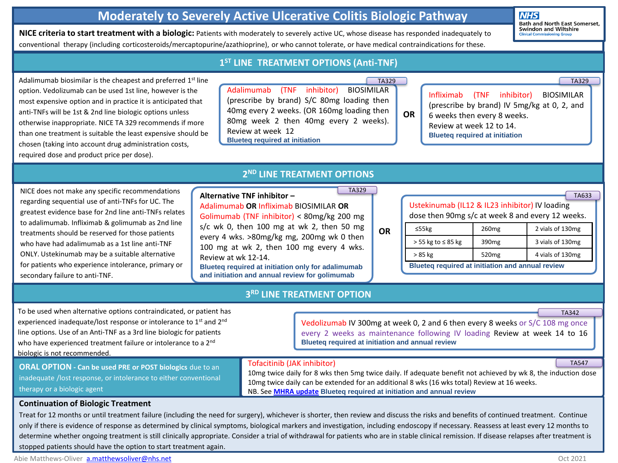## **Moderately to Severely Active Ulcerative Colitis Biologic Pathway**

**NHS Bath and North East Somerset, Swindon and Wiltshire** 

**NICE criteria to start treatment with a biologic:** Patients with moderately to severely active UC, whose disease has responded inadequately to conventional therapy (including corticosteroids/mercaptopurine/azathioprine), or who cannot tolerate, or have medical contraindications for these.

Adalimumab biosimilar is option. Vedolizumab can most expensive option ar anti-TNFs will be 1st & 2nd otherwise inappropriate. than one treatment is suit chosen (taking into accou required dose and produc

### **1 ST LINE TREATMENT OPTIONS (Anti-TNF)**

| s the cheapest and preferred 1st line                                                                                                                                                                                                          | <b>TA329</b>                                                                                                                                                                                                                                   |    | <b>TA329</b>                                                                                                                                                                                       |
|------------------------------------------------------------------------------------------------------------------------------------------------------------------------------------------------------------------------------------------------|------------------------------------------------------------------------------------------------------------------------------------------------------------------------------------------------------------------------------------------------|----|----------------------------------------------------------------------------------------------------------------------------------------------------------------------------------------------------|
| be used 1st line, however is the<br>nd in practice it is anticipated that<br>d line biologic options unless<br>NICE TA 329 recommends if more<br>itable the least expensive should be<br>unt drug administration costs,<br>ct price per dose). | inhibitor)<br>Adalimumab (TNF<br>BIOSIMILAR<br>(prescribe by brand) S/C 80mg loading then<br>40mg every 2 weeks. (OR 160mg loading then<br>80mg week 2 then 40mg every 2 weeks).<br>Review at week 12<br><b>Blueteg required at initiation</b> | OR | Infliximab (TNF inhibitor)<br><b>BIOSIMILAR</b><br>(prescribe by brand) IV 5mg/kg at 0, 2, and<br>6 weeks then every 8 weeks.<br>Review at week 12 to 14.<br><b>Blueteq required at initiation</b> |
|                                                                                                                                                                                                                                                |                                                                                                                                                                                                                                                |    |                                                                                                                                                                                                    |

TA329

NICE does not make any specific recommendations regarding sequential use of anti-TNFs for UC. The greatest evidence base for 2nd line anti-TNFs relates to adalimumab. Infliximab & golimumab as 2nd line treatments should be reserved for those patients who have had adalimumab as a 1st line anti-TNF ONLY. Ustekinumab may be a suitable alternative for patients who experience intolerance, primary or secondary failure to anti-TNF.

## **2 ND LINE TREATMENT OPTIONS**

### **Alternative TNF inhibitor –** Adalimumab **OR** Infliximab BIOSIMILAR **OR** Golimumab (TNF inhibitor) < 80mg/kg 200 mg s/c wk 0, then 100 mg at wk 2, then 50 mg every 4 wks. >80mg/kg mg, 200mg wk 0 then 100 mg at wk 2, then 100 mg every 4 wks. Review at wk 12-14. **Blueteq required at initiation only for adalimumab and initiation and annual review for golimumab**

## **OR**

| Ustekinumab (IL12 & IL23 inhibitor) IV loading<br>dose then 90mg s/c at week 8 and every 12 weeks. |                   |                  |
|----------------------------------------------------------------------------------------------------|-------------------|------------------|
| $\leq$ 55 $kg$                                                                                     | 260 <sub>mg</sub> | 2 vials of 130mg |
| $>$ 55 kg to $\leq$ 85 kg                                                                          | 390 <sub>mg</sub> | 3 vials of 130mg |
| > 85 kg                                                                                            | 520 <sub>mg</sub> | 4 vials of 130mg |
| <b>Blueteg required at initiation and annual review</b>                                            |                   |                  |

To be used when alternative options contraindicated, or patient has experienced inadequate/lost response or intolerance to 1<sup>st</sup> and 2<sup>nd</sup> line options. Use of an Anti-TNF as a 3rd line biologic for patients who have experienced treatment failure or intolerance to a 2<sup>nd</sup> biologic is not recommended.

**ORAL OPTION - Can be used PRE or POST biologics** due to an inadequate /lost response, or intolerance to either conventional therapy or a biologic agent

## **3 RD LINE TREATMENT OPTION**

Vedolizumab IV 300mg at week 0, 2 and 6 then every 8 weeks or S/C 108 mg once every 2 weeks as maintenance following IV loading Review at week 14 to 16 **Blueteq required at initiation and annual review**

### Tofacitinib (JAK inhibitor)

10mg twice daily for 8 wks then 5mg twice daily. If adequate benefit not achieved by wk 8, the induction dose 10mg twice daily can be extended for an additional 8 wks (16 wks total) Review at 16 weeks. NB. See **MHRA [update](https://www.gov.uk/drug-safety-update/tofacitinib-xeljanz-new-measures-to-minimise-risk-of-venous-thromboembolism-and-of-serious-and-fatal-infections) Blueteq required at initiation and annual review**

#### **Continuation of Biologic Treatment**

Treat for 12 months or until treatment failure (including the need for surgery), whichever is shorter, then review and discuss the risks and benefits of continued treatment. Continue only if there is evidence of response as determined by clinical symptoms, biological markers and investigation, including endoscopy if necessary. Reassess at least every 12 months to determine whether ongoing treatment is still clinically appropriate. Consider a trial of withdrawal for patients who are in stable clinical remission. If disease relapses after treatment is stopped patients should have the option to start treatment again.

TA547

TA342

TA633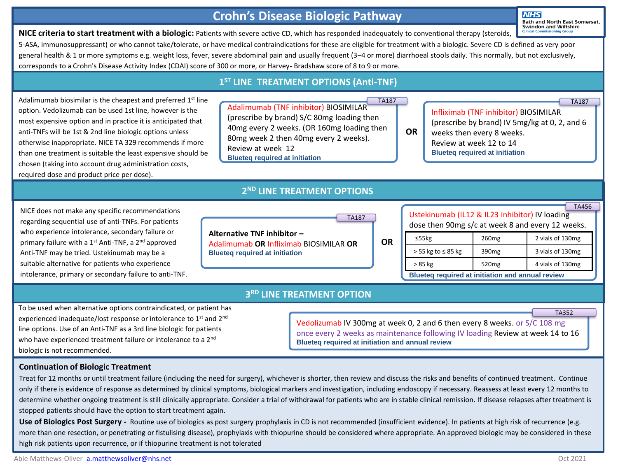## **Crohn's Disease Biologic Pathway**

**NHS Bath and North East Somerset, Swindon and Wiltshire** 

TA187

**NICE criteria to start treatment with a biologic:** Patients with severe active CD, which has responded inadequately to conventional therapy (steroids, 5-ASA, immunosuppressant) or who cannot take/tolerate, or have medical contraindications for these are eligible for treatment with a biologic. Severe CD is defined as very poor general health & 1 or more symptoms e.g. weight loss, fever, severe abdominal pain and usually frequent (3–4 or more) diarrhoeal stools daily. This normally, but not exclusively, corresponds to a Crohn's Disease Activity Index (CDAI) score of 300 or more, or Harvey- Bradshaw score of 8 to 9 or more.

Adalimumab biosimilar is the cheapest and preferred  $1<sup>st</sup>$  line option. Vedolizumab can be used 1st line, however is the most expensive option and in practice it is anticipated that anti-TNFs will be 1st & 2nd line biologic options unless otherwise inappropriate. NICE TA 329 recommends if more than one treatment is suitable the least expensive should be chosen (taking into account drug administration costs, required dose and product price per dose).

## **1 ST LINE TREATMENT OPTIONS (Anti-TNF)**

Adalimumab (TNF inhibitor) BIOSIMILAR (prescribe by brand) S/C 80mg loading then 40mg every 2 weeks. (OR 160mg loading then 80mg week 2 then 40mg every 2 weeks). Review at week 12 **Blueteq required at initiation** TA187

**2 ND LINE TREATMENT OPTIONS**

## (prescribe by brand) IV 5mg/kg at 0, 2, and 6 weeks then every 8 weeks. Review at week 12 to 14 **Blueteq required at initiation**

Infliximab (TNF inhibitor) BIOSIMILAR

NICE does not make any specific recommendations regarding sequential use of anti-TNFs. For patients who experience intolerance, secondary failure or primary failure with a 1<sup>st</sup> Anti-TNF, a 2<sup>nd</sup> approved Anti-TNF may be tried. Ustekinumab may be a suitable alternative for patients who experience intolerance, primary or secondary failure to anti-TNF.

|                                                                                                                | TA187 |
|----------------------------------------------------------------------------------------------------------------|-------|
| Alternative TNF inhibitor -<br>Adalimumab OR Infliximab BIOSIMILAR OR<br><b>Blueteg required at initiation</b> |       |

|                                                  | <b>TA456</b> |  |
|--------------------------------------------------|--------------|--|
| Ustekinumab (IL12 & IL23 inhibitor) IV loading   |              |  |
| dose then 90mg s/c at week 8 and every 12 weeks. |              |  |
|                                                  |              |  |

| $\leq$ 55 $kg$                                   | 260 <sub>mg</sub> | 2 vials of 130mg |
|--------------------------------------------------|-------------------|------------------|
| $>$ 55 kg to $\leq$ 85 kg                        | 390 <sub>mg</sub> | 3 vials of 130mg |
| > 85 kg                                          | 520 <sub>mg</sub> | 4 vials of 130mg |
| Blueteq required at initiation and annual review |                   |                  |

## **3 RD LINE TREATMENT OPTION**

To be used when alternative options contraindicated, or patient has experienced inadequate/lost response or intolerance to 1<sup>st</sup> and 2<sup>nd</sup> line options. Use of an Anti-TNF as a 3rd line biologic for patients who have experienced treatment failure or intolerance to a 2<sup>nd</sup> biologic is not recommended.

Vedolizumab IV 300mg at week 0, 2 and 6 then every 8 weeks. or S/C 108 mg once every 2 weeks as maintenance following IV loading Review at week 14 to 16 **Blueteq required at initiation and annual review** 

**OR**

**OR**

### **Continuation of Biologic Treatment**

Treat for 12 months or until treatment failure (including the need for surgery), whichever is shorter, then review and discuss the risks and benefits of continued treatment. Continue only if there is evidence of response as determined by clinical symptoms, biological markers and investigation, including endoscopy if necessary. Reassess at least every 12 months to determine whether ongoing treatment is still clinically appropriate. Consider a trial of withdrawal for patients who are in stable clinical remission. If disease relapses after treatment is stopped patients should have the option to start treatment again.

Use of Biologics Post Surgery - Routine use of biologics as post surgery prophylaxis in CD is not recommended (insufficient evidence). In patients at high risk of recurrence (e.g. more than one resection, or penetrating or fistulising disease), prophylaxis with thiopurine should be considered where appropriate. An approved biologic may be considered in these high risk patients upon recurrence, or if thiopurine treatment is not tolerated

TA352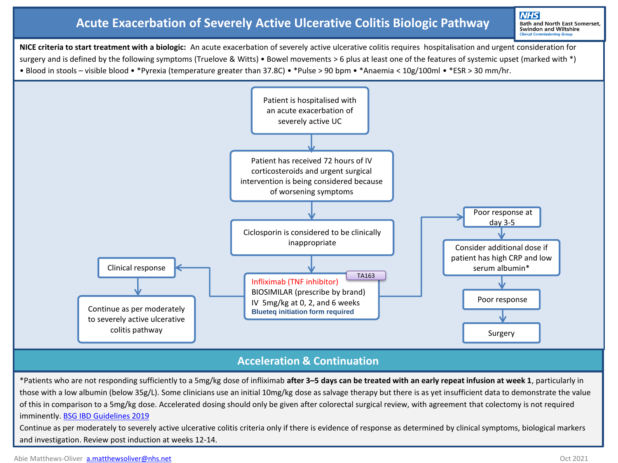# **Acute Exacerbation of Severely Active Ulcerative Colitis Biologic Pathway**

**NHS** Bath and North East Somerset, Swindon and Wiltshire

**NICE criteria to start treatment with a biologic:** An acute exacerbation of severely active ulcerative colitis requires hospitalisation and urgent consideration for surgery and is defined by the following symptoms (Truelove & Witts) • Bowel movements > 6 plus at least one of the features of systemic upset (marked with \*) • Blood in stools – visible blood • \*Pyrexia (temperature greater than 37.8C) • \*Pulse > 90 bpm • \*Anaemia < 10g/100ml • \*ESR > 30 mm/hr.



## **Acceleration & Continuation**

\*Patients who are not responding sufficiently to a 5mg/kg dose of infliximab **after 3–5 days can be treated with an early repeat infusion at week 1**, particularly in those with a low albumin (below 35g/L). Some clinicians use an initial 10mg/kg dose as salvage therapy but there is as yet insufficient data to demonstrate the value of this in comparison to a 5mg/kg dose. Accelerated dosing should only be given after colorectal surgical review, with agreement that colectomy is not required imminently. [BSG IBD Guidelines 2019](https://www.bsg.org.uk/wp-content/uploads/2019/12/BSG-IBD-Guidelines-2019.pdf) Continue as per moderately to severely active ulcerative colitis criteria only if there is evidence of response as determined by clinical symptoms, biological markers and investigation. Review post induction at weeks 12-14.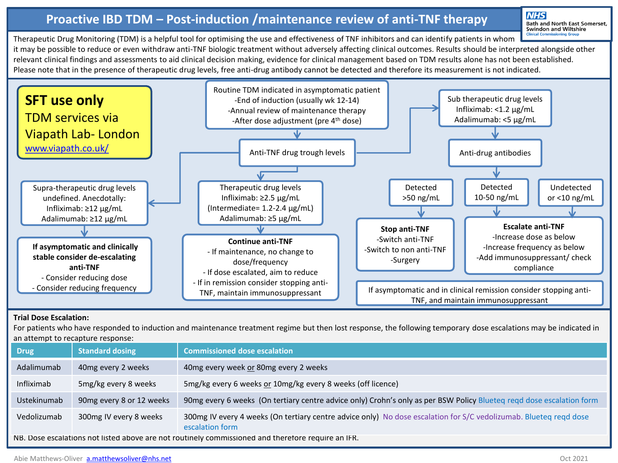# **Proactive IBD TDM – Post-induction /maintenance review of anti-TNF therapy**

**NHS Bath and North East Somerset,** Swindon and Wiltshire

Therapeutic Drug Monitoring (TDM) is a helpful tool for optimising the use and effectiveness of TNF inhibitors and can identify patients in whom it may be possible to reduce or even withdraw anti-TNF biologic treatment without adversely affecting clinical outcomes. Results should be interpreted alongside other relevant clinical findings and assessments to aid clinical decision making, evidence for clinical management based on TDM results alone has not been established. Please note that in the presence of therapeutic drug levels, free anti-drug antibody cannot be detected and therefore its measurement is not indicated.



#### **Trial Dose Escalation:**

For patients who have responded to induction and maintenance treatment regime but then lost response, the following temporary dose escalations may be indicated in an attempt to recapture response:

| Drug                                                                                               | <b>Standard dosing</b>   | <b>Commissioned dose escalation</b>                                                                                                  |
|----------------------------------------------------------------------------------------------------|--------------------------|--------------------------------------------------------------------------------------------------------------------------------------|
| Adalimumab                                                                                         | 40mg every 2 weeks       | 40mg every week or 80mg every 2 weeks                                                                                                |
| Infliximab                                                                                         | 5mg/kg every 8 weeks     | 5mg/kg every 6 weeks or 10mg/kg every 8 weeks (off licence)                                                                          |
| Ustekinumab                                                                                        | 90mg every 8 or 12 weeks | 90mg every 6 weeks (On tertiary centre advice only) Crohn's only as per BSW Policy Blueteq regd dose escalation form                 |
| Vedolizumab                                                                                        | 300mg IV every 8 weeks   | 300mg IV every 4 weeks (On tertiary centre advice only) No dose escalation for S/C vedolizumab. Blueteq reqd dose<br>escalation form |
| NB. Dose escalations not listed above are not routinely commissioned and therefore require an IFR. |                          |                                                                                                                                      |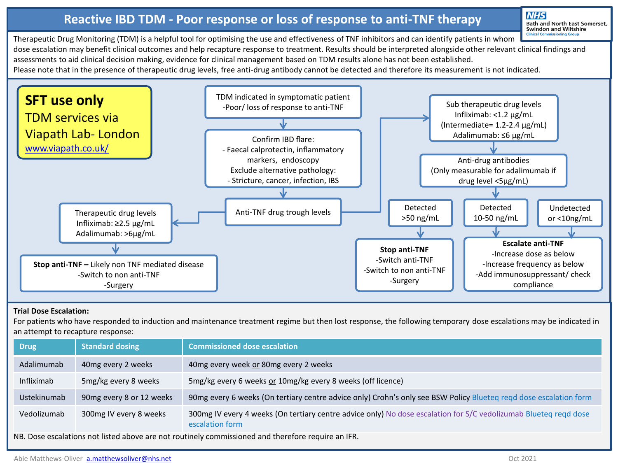# **Reactive IBD TDM - Poor response or loss of response to anti-TNF therapy**

**NHS Bath and North East Somerset,** Swindon and Wiltshire

Therapeutic Drug Monitoring (TDM) is a helpful tool for optimising the use and effectiveness of TNF inhibitors and can identify patients in whom dose escalation may benefit clinical outcomes and help recapture response to treatment. Results should be interpreted alongside other relevant clinical findings and assessments to aid clinical decision making, evidence for clinical management based on TDM results alone has not been established. Please note that in the presence of therapeutic drug levels, free anti-drug antibody cannot be detected and therefore its measurement is not indicated.



### **Trial Dose Escalation:**

For patients who have responded to induction and maintenance treatment regime but then lost response, the following temporary dose escalations may be indicated in an attempt to recapture response:

| <b>Drug</b> | <b>Standard dosing</b>   | <b>Commissioned dose escalation</b>                                                                                                 |
|-------------|--------------------------|-------------------------------------------------------------------------------------------------------------------------------------|
| Adalimumab  | 40mg every 2 weeks       | 40mg every week or 80mg every 2 weeks                                                                                               |
| Infliximab  | 5mg/kg every 8 weeks     | 5mg/kg every 6 weeks or 10mg/kg every 8 weeks (off licence)                                                                         |
| Ustekinumab | 90mg every 8 or 12 weeks | 90mg every 6 weeks (On tertiary centre advice only) Crohn's only see BSW Policy Blueteq reqd dose escalation form                   |
| Vedolizumab | 300mg IV every 8 weeks   | 300mg IV every 4 weeks (On tertiary centre advice only) No dose escalation for S/C vedolizumab Blueteq reqd dose<br>escalation form |

NB. Dose escalations not listed above are not routinely commissioned and therefore require an IFR.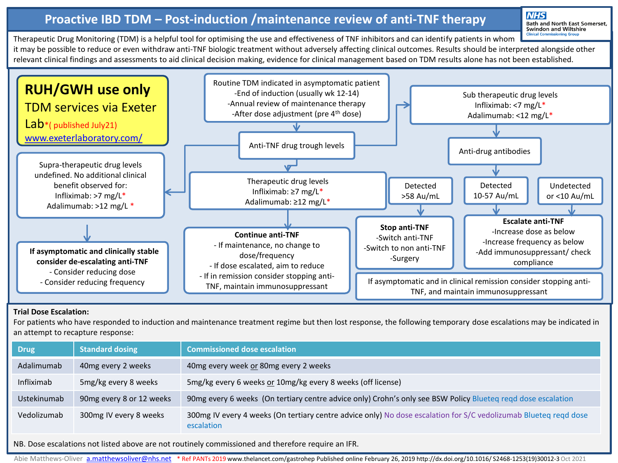# **Proactive IBD TDM – Post-induction /maintenance review of anti-TNF therapy**

**NHS** Bath and North East Somerset,<br>Swindon and Wiltshire

Therapeutic Drug Monitoring (TDM) is a helpful tool for optimising the use and effectiveness of TNF inhibitors and can identify patients in whom it may be possible to reduce or even withdraw anti-TNF biologic treatment without adversely affecting clinical outcomes. Results should be interpreted alongside other relevant clinical findings and assessments to aid clinical decision making, evidence for clinical management based on TDM results alone has not been established.



#### **Trial Dose Escalation:**

For patients who have responded to induction and maintenance treatment regime but then lost response, the following temporary dose escalations may be indicated in an attempt to recapture response:

| <b>Drug</b> | <b>Standard dosing</b>   | <b>Commissioned dose escalation</b>                                                                                            |
|-------------|--------------------------|--------------------------------------------------------------------------------------------------------------------------------|
| Adalimumab  | 40mg every 2 weeks       | 40mg every week or 80mg every 2 weeks                                                                                          |
| Infliximab  | 5mg/kg every 8 weeks     | 5mg/kg every 6 weeks or 10mg/kg every 8 weeks (off license)                                                                    |
| Ustekinumab | 90mg every 8 or 12 weeks | 90mg every 6 weeks (On tertiary centre advice only) Crohn's only see BSW Policy Blueteq reqd dose escalation                   |
| Vedolizumab | 300mg IV every 8 weeks   | 300mg IV every 4 weeks (On tertiary centre advice only) No dose escalation for S/C vedolizumab Blueteq reqd dose<br>escalation |

NB. Dose escalations not listed above are not routinely commissioned and therefore require an IFR.

Abie Matthews-Oliver [a.matthewsoliver@nhs.net](mailto:a.matthewsoliver@nhs.net) \*Ref PANTs 2019 www.thelancet.com/gastrohep Published online February 26, 2019 http://dx.doi.org/10.1016/ S2468-1253(19)30012-3 Oct 2021